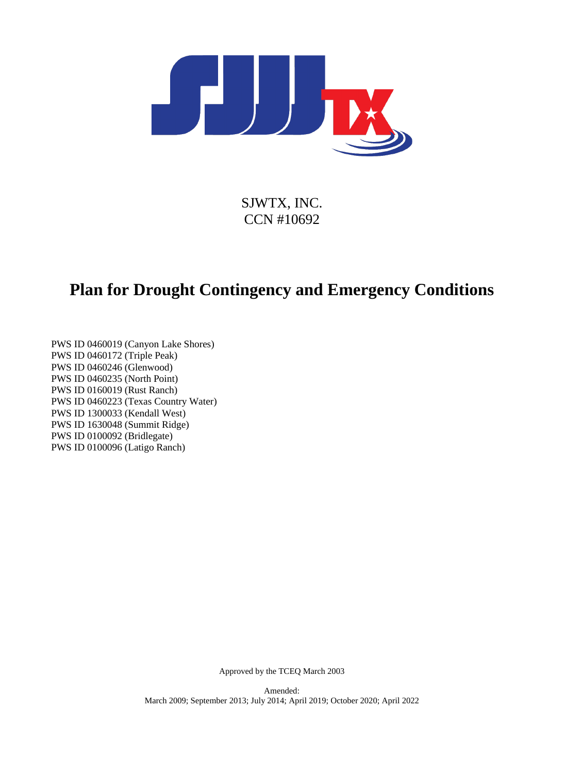

SJWTX, INC. CCN #10692

# **Plan for Drought Contingency and Emergency Conditions**

PWS ID 0460019 (Canyon Lake Shores) PWS ID 0460172 (Triple Peak) PWS ID 0460246 (Glenwood) PWS ID 0460235 (North Point) PWS ID 0160019 (Rust Ranch) PWS ID 0460223 (Texas Country Water) PWS ID 1300033 (Kendall West) PWS ID 1630048 (Summit Ridge) PWS ID 0100092 (Bridlegate) PWS ID 0100096 (Latigo Ranch)

Approved by the TCEQ March 2003

Amended: March 2009; September 2013; July 2014; April 2019; October 2020; April 2022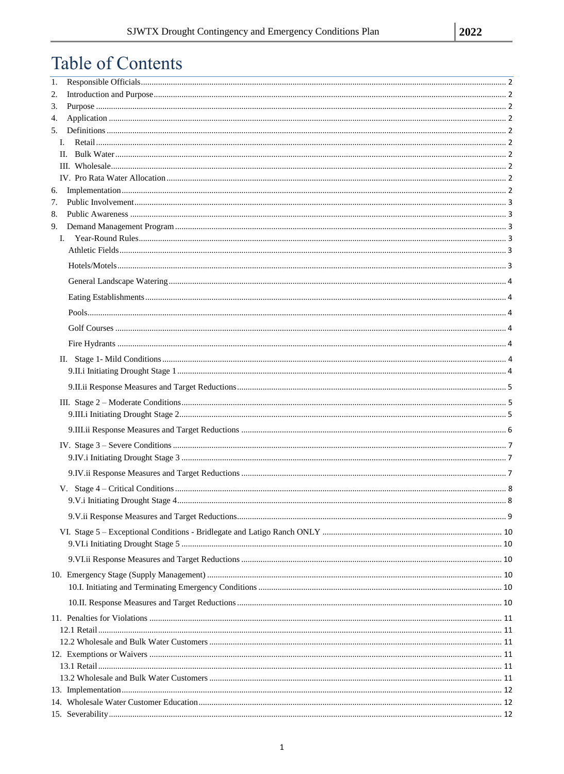# Table of Contents

| 1.             |  |
|----------------|--|
| 2.             |  |
| 3.             |  |
| 4.             |  |
| 5.             |  |
| $\mathbf{I}$ . |  |
| $\mathbf{I}$   |  |
|                |  |
|                |  |
| 6.             |  |
| 7.<br>8.       |  |
| 9.             |  |
| $\mathbf{I}$ . |  |
|                |  |
|                |  |
|                |  |
|                |  |
|                |  |
|                |  |
|                |  |
|                |  |
|                |  |
|                |  |
|                |  |
|                |  |
|                |  |
|                |  |
|                |  |
|                |  |
|                |  |
|                |  |
|                |  |
|                |  |
|                |  |
|                |  |
|                |  |
|                |  |
|                |  |
|                |  |
|                |  |
|                |  |
|                |  |
|                |  |
|                |  |
|                |  |
|                |  |
|                |  |
|                |  |
|                |  |
|                |  |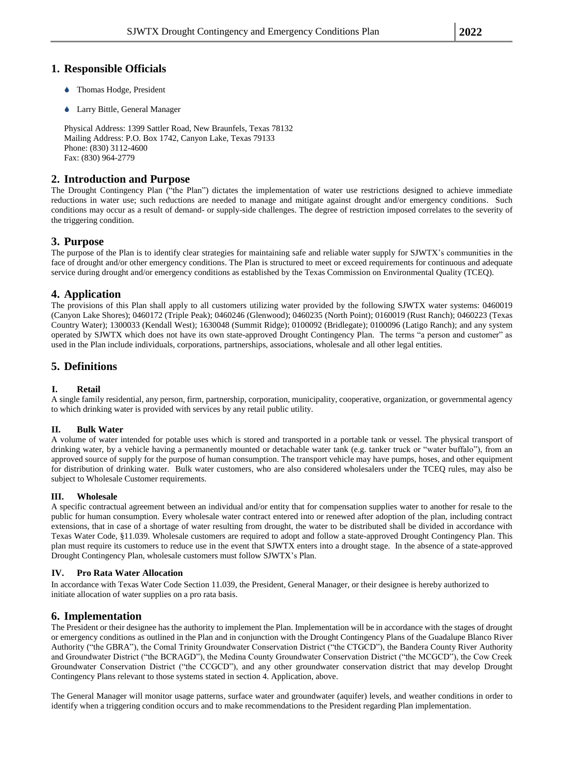# <span id="page-2-0"></span>**1. Responsible Officials**

- **◆** Thomas Hodge, President
- Larry Bittle, General Manager

Physical Address: 1399 Sattler Road, New Braunfels, Texas 78132 Mailing Address: P.O. Box 1742, Canyon Lake, Texas 79133 Phone: (830) 3112-4600 Fax: (830) 964-2779

# <span id="page-2-1"></span>**2. Introduction and Purpose**

The Drought Contingency Plan ("the Plan") dictates the implementation of water use restrictions designed to achieve immediate reductions in water use; such reductions are needed to manage and mitigate against drought and/or emergency conditions. Such conditions may occur as a result of demand- or supply-side challenges. The degree of restriction imposed correlates to the severity of the triggering condition.

# <span id="page-2-2"></span>**3. Purpose**

The purpose of the Plan is to identify clear strategies for maintaining safe and reliable water supply for SJWTX's communities in the face of drought and/or other emergency conditions. The Plan is structured to meet or exceed requirements for continuous and adequate service during drought and/or emergency conditions as established by the Texas Commission on Environmental Quality (TCEQ).

# <span id="page-2-3"></span>**4. Application**

The provisions of this Plan shall apply to all customers utilizing water provided by the following SJWTX water systems: 0460019 (Canyon Lake Shores); 0460172 (Triple Peak); 0460246 (Glenwood); 0460235 (North Point); 0160019 (Rust Ranch); 0460223 (Texas Country Water); 1300033 (Kendall West); 1630048 (Summit Ridge); 0100092 (Bridlegate); 0100096 (Latigo Ranch); and any system operated by SJWTX which does not have its own state-approved Drought Contingency Plan.The terms "a person and customer" as used in the Plan include individuals, corporations, partnerships, associations, wholesale and all other legal entities.

# <span id="page-2-4"></span>**5. Definitions**

# <span id="page-2-5"></span>**I. Retail**

A single family residential, any person, firm, partnership, corporation, municipality, cooperative, organization, or governmental agency to which drinking water is provided with services by any retail public utility.

# <span id="page-2-6"></span>**II. Bulk Water**

A volume of water intended for potable uses which is stored and transported in a portable tank or vessel. The physical transport of drinking water, by a vehicle having a permanently mounted or detachable water tank (e.g. tanker truck or "water buffalo"), from an approved source of supply for the purpose of human consumption. The transport vehicle may have pumps, hoses, and other equipment for distribution of drinking water. Bulk water customers, who are also considered wholesalers under the TCEQ rules, may also be subject to Wholesale Customer requirements.

# <span id="page-2-7"></span>**III. Wholesale**

A specific contractual agreement between an individual and/or entity that for compensation supplies water to another for resale to the public for human consumption. Every wholesale water contract entered into or renewed after adoption of the plan, including contract extensions, that in case of a shortage of water resulting from drought, the water to be distributed shall be divided in accordance with Texas Water Code, §11.039. Wholesale customers are required to adopt and follow a state-approved Drought Contingency Plan. This plan must require its customers to reduce use in the event that SJWTX enters into a drought stage. In the absence of a state-approved Drought Contingency Plan, wholesale customers must follow SJWTX's Plan.

# <span id="page-2-8"></span>**IV. Pro Rata Water Allocation**

In accordance with Texas Water Code Section 11.039, the President, General Manager, or their designee is hereby authorized to initiate allocation of water supplies on a pro rata basis.

# <span id="page-2-9"></span>**6. Implementation**

The President or their designee has the authority to implement the Plan. Implementation will be in accordance with the stages of drought or emergency conditions as outlined in the Plan and in conjunction with the Drought Contingency Plans of the Guadalupe Blanco River Authority ("the GBRA"), the Comal Trinity Groundwater Conservation District ("the CTGCD"), the Bandera County River Authority and Groundwater District ("the BCRAGD"), the Medina County Groundwater Conservation District ("the MCGCD"), the Cow Creek Groundwater Conservation District ("the CCGCD"), and any other groundwater conservation district that may develop Drought Contingency Plans relevant to those systems stated in section 4. Application, above.

The General Manager will monitor usage patterns, surface water and groundwater (aquifer) levels, and weather conditions in order to identify when a triggering condition occurs and to make recommendations to the President regarding Plan implementation.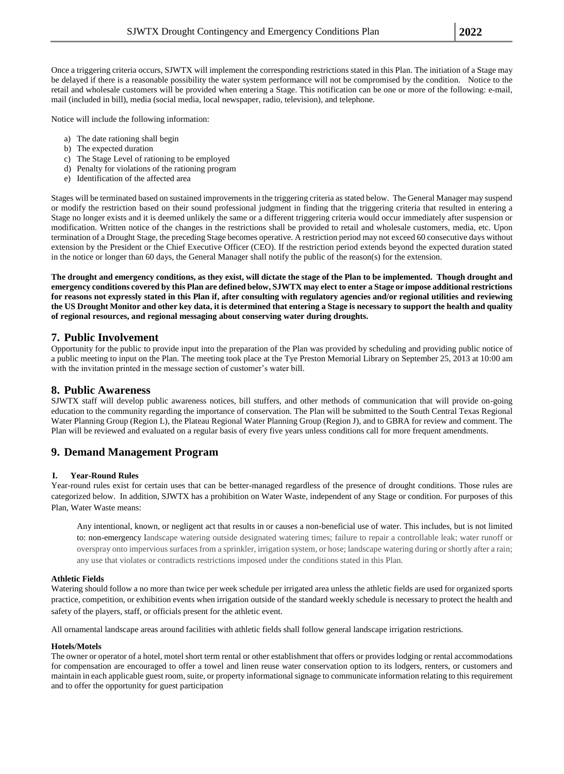Once a triggering criteria occurs, SJWTX will implement the corresponding restrictions stated in this Plan. The initiation of a Stage may be delayed if there is a reasonable possibility the water system performance will not be compromised by the condition. Notice to the retail and wholesale customers will be provided when entering a Stage. This notification can be one or more of the following: e-mail, mail (included in bill), media (social media, local newspaper, radio, television), and telephone.

Notice will include the following information:

- a) The date rationing shall begin
- b) The expected duration
- c) The Stage Level of rationing to be employed
- d) Penalty for violations of the rationing program
- e) Identification of the affected area

Stages will be terminated based on sustained improvements in the triggering criteria as stated below. The General Manager may suspend or modify the restriction based on their sound professional judgment in finding that the triggering criteria that resulted in entering a Stage no longer exists and it is deemed unlikely the same or a different triggering criteria would occur immediately after suspension or modification. Written notice of the changes in the restrictions shall be provided to retail and wholesale customers, media, etc. Upon termination of a Drought Stage, the preceding Stage becomes operative. A restriction period may not exceed 60 consecutive days without extension by the President or the Chief Executive Officer (CEO). If the restriction period extends beyond the expected duration stated in the notice or longer than 60 days, the General Manager shall notify the public of the reason(s) for the extension.

**The drought and emergency conditions, as they exist, will dictate the stage of the Plan to be implemented. Though drought and emergency conditions covered by this Plan are defined below, SJWTX may elect to enter a Stage or impose additional restrictions for reasons not expressly stated in this Plan if, after consulting with regulatory agencies and/or regional utilities and reviewing the US Drought Monitor and other key data, it is determined that entering a Stage is necessary to support the health and quality of regional resources, and regional messaging about conserving water during droughts.**

# <span id="page-3-0"></span>**7. Public Involvement**

Opportunity for the public to provide input into the preparation of the Plan was provided by scheduling and providing public notice of a public meeting to input on the Plan. The meeting took place at the Tye Preston Memorial Library on September 25, 2013 at 10:00 am with the invitation printed in the message section of customer's water bill.

# <span id="page-3-1"></span>**8. Public Awareness**

SJWTX staff will develop public awareness notices, bill stuffers, and other methods of communication that will provide on-going education to the community regarding the importance of conservation. The Plan will be submitted to the South Central Texas Regional Water Planning Group (Region L), the Plateau Regional Water Planning Group (Region J), and to GBRA for review and comment. The Plan will be reviewed and evaluated on a regular basis of every five years unless conditions call for more frequent amendments.

# <span id="page-3-2"></span>**9. Demand Management Program**

# <span id="page-3-3"></span>**I. Year-Round Rules**

Year-round rules exist for certain uses that can be better-managed regardless of the presence of drought conditions. Those rules are categorized below. In addition, SJWTX has a prohibition on Water Waste, independent of any Stage or condition. For purposes of this Plan, Water Waste means:

Any intentional, known, or negligent act that results in or causes a non-beneficial use of water. This includes, but is not limited to: non-emergency landscape watering outside designated watering times; failure to repair a controllable leak; water runoff or overspray onto impervious surfaces from a sprinkler, irrigation system, or hose; landscape watering during or shortly after a rain; any use that violates or contradicts restrictions imposed under the conditions stated in this Plan.

## <span id="page-3-4"></span>**Athletic Fields**

Watering should follow a no more than twice per week schedule per irrigated area unless the athletic fields are used for organized sports practice, competition, or exhibition events when irrigation outside of the standard weekly schedule is necessary to protect the health and safety of the players, staff, or officials present for the athletic event.

All ornamental landscape areas around facilities with athletic fields shall follow general landscape irrigation restrictions.

## <span id="page-3-5"></span>**Hotels/Motels**

The owner or operator of a hotel, motel short term rental or other establishment that offers or provides lodging or rental accommodations for compensation are encouraged to offer a towel and linen reuse water conservation option to its lodgers, renters, or customers and maintain in each applicable guest room, suite, or property informational signage to communicate information relating to this requirement and to offer the opportunity for guest participation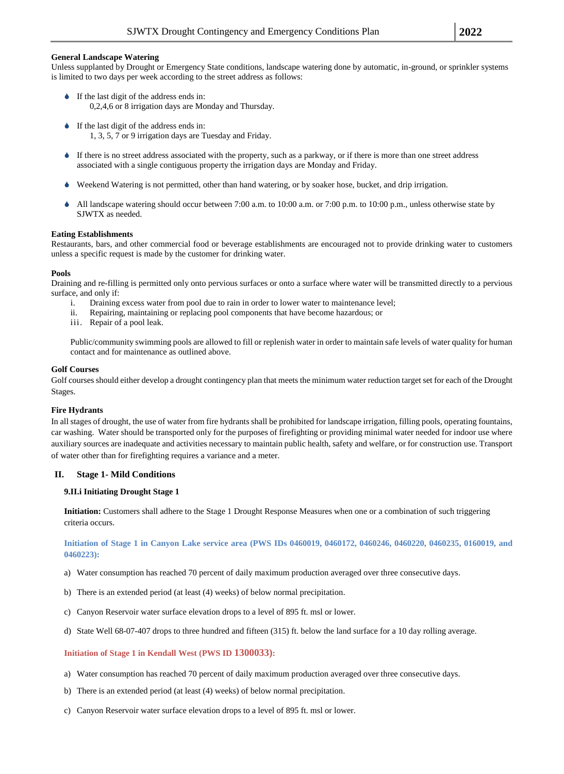## <span id="page-4-0"></span>**General Landscape Watering**

Unless supplanted by Drought or Emergency State conditions, landscape watering done by automatic, in-ground, or sprinkler systems is limited to two days per week according to the street address as follows:

- $\bullet$  If the last digit of the address ends in: 0,2,4,6 or 8 irrigation days are Monday and Thursday.
- If the last digit of the address ends in: 1, 3, 5, 7 or 9 irrigation days are Tuesday and Friday.
- If there is no street address associated with the property, such as a parkway, or if there is more than one street address associated with a single contiguous property the irrigation days are Monday and Friday.
- Weekend Watering is not permitted, other than hand watering, or by soaker hose, bucket, and drip irrigation.
- All landscape watering should occur between 7:00 a.m. to 10:00 a.m. or 7:00 p.m. to 10:00 p.m., unless otherwise state by SJWTX as needed.

## <span id="page-4-1"></span>**Eating Establishments**

Restaurants, bars, and other commercial food or beverage establishments are encouraged not to provide drinking water to customers unless a specific request is made by the customer for drinking water.

## <span id="page-4-2"></span>**Pools**

Draining and re-filling is permitted only onto pervious surfaces or onto a surface where water will be transmitted directly to a pervious surface, and only if:

- i. Draining excess water from pool due to rain in order to lower water to maintenance level;
- ii. Repairing, maintaining or replacing pool components that have become hazardous; or
- iii. Repair of a pool leak.

Public/community swimming pools are allowed to fill or replenish water in order to maintain safe levels of water quality for human contact and for maintenance as outlined above.

## <span id="page-4-3"></span>**Golf Courses**

Golf courses should either develop a drought contingency plan that meets the minimum water reduction target set for each of the Drought Stages.

# <span id="page-4-4"></span>**Fire Hydrants**

In all stages of drought, the use of water from fire hydrants shall be prohibited for landscape irrigation, filling pools, operating fountains, car washing. Water should be transported only for the purposes of firefighting or providing minimal water needed for indoor use where auxiliary sources are inadequate and activities necessary to maintain public health, safety and welfare, or for construction use. Transport of water other than for firefighting requires a variance and a meter.

# <span id="page-4-6"></span><span id="page-4-5"></span>**II. Stage 1- Mild Conditions**

## **9.II.i Initiating Drought Stage 1**

**Initiation:** Customers shall adhere to the Stage 1 Drought Response Measures when one or a combination of such triggering criteria occurs.

**Initiation of Stage 1 in Canyon Lake service area (PWS IDs 0460019, 0460172, 0460246, 0460220, 0460235, 0160019, and 0460223):**

- a) Water consumption has reached 70 percent of daily maximum production averaged over three consecutive days.
- b) There is an extended period (at least (4) weeks) of below normal precipitation.
- c) Canyon Reservoir water surface elevation drops to a level of 895 ft. msl or lower.
- d) State Well 68-07-407 drops to three hundred and fifteen (315) ft. below the land surface for a 10 day rolling average.

# **Initiation of Stage 1 in Kendall West (PWS ID 1300033):**

- a) Water consumption has reached 70 percent of daily maximum production averaged over three consecutive days.
- b) There is an extended period (at least (4) weeks) of below normal precipitation.
- c) Canyon Reservoir water surface elevation drops to a level of 895 ft. msl or lower.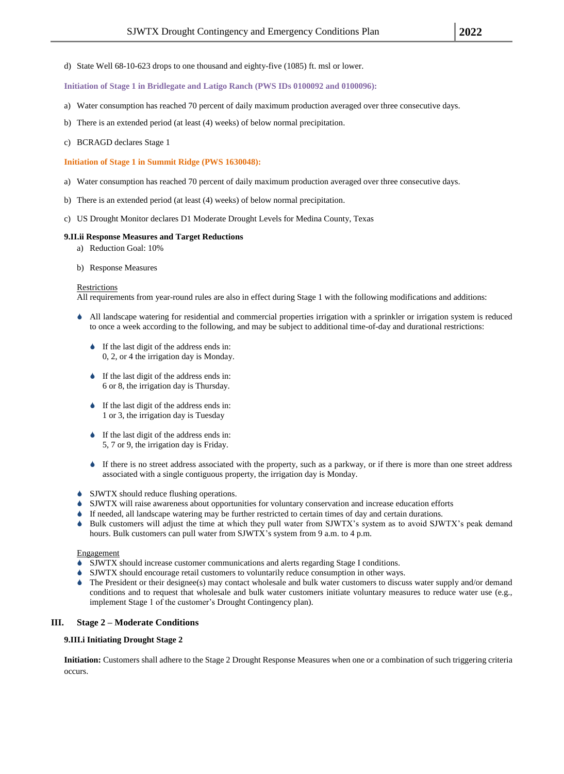d) State Well 68-10-623 drops to one thousand and eighty-five (1085) ft. msl or lower.

**Initiation of Stage 1 in Bridlegate and Latigo Ranch (PWS IDs 0100092 and 0100096):**

- a) Water consumption has reached 70 percent of daily maximum production averaged over three consecutive days.
- b) There is an extended period (at least (4) weeks) of below normal precipitation.
- c) BCRAGD declares Stage 1

#### **Initiation of Stage 1 in Summit Ridge (PWS 1630048):**

- a) Water consumption has reached 70 percent of daily maximum production averaged over three consecutive days.
- b) There is an extended period (at least (4) weeks) of below normal precipitation.
- c) US Drought Monitor declares D1 Moderate Drought Levels for Medina County, Texas

#### <span id="page-5-0"></span>**9.II.ii Response Measures and Target Reductions**

- a) Reduction Goal: 10%
- b) Response Measures

#### Restrictions

All requirements from year-round rules are also in effect during Stage 1 with the following modifications and additions:

- All landscape watering for residential and commercial properties irrigation with a sprinkler or irrigation system is reduced to once a week according to the following, and may be subject to additional time-of-day and durational restrictions:
	- If the last digit of the address ends in: 0, 2, or 4 the irrigation day is Monday.
	- If the last digit of the address ends in: 6 or 8, the irrigation day is Thursday.
	- If the last digit of the address ends in: 1 or 3, the irrigation day is Tuesday
	- If the last digit of the address ends in: 5, 7 or 9, the irrigation day is Friday.
	- If there is no street address associated with the property, such as a parkway, or if there is more than one street address associated with a single contiguous property, the irrigation day is Monday.
- SJWTX should reduce flushing operations.
- SJWTX will raise awareness about opportunities for voluntary conservation and increase education efforts
- If needed, all landscape watering may be further restricted to certain times of day and certain durations.
- Bulk customers will adjust the time at which they pull water from SJWTX's system as to avoid SJWTX's peak demand hours. Bulk customers can pull water from SJWTX's system from 9 a.m. to 4 p.m.

#### **Engagement**

- SJWTX should increase customer communications and alerts regarding Stage I conditions.
- SJWTX should encourage retail customers to voluntarily reduce consumption in other ways.
- ◆ The President or their designee(s) may contact wholesale and bulk water customers to discuss water supply and/or demand conditions and to request that wholesale and bulk water customers initiate voluntary measures to reduce water use (e.g., implement Stage 1 of the customer's Drought Contingency plan).

#### <span id="page-5-2"></span><span id="page-5-1"></span>**III. Stage 2 – Moderate Conditions**

#### **9.III.i Initiating Drought Stage 2**

**Initiation:** Customers shall adhere to the Stage 2 Drought Response Measures when one or a combination of such triggering criteria occurs.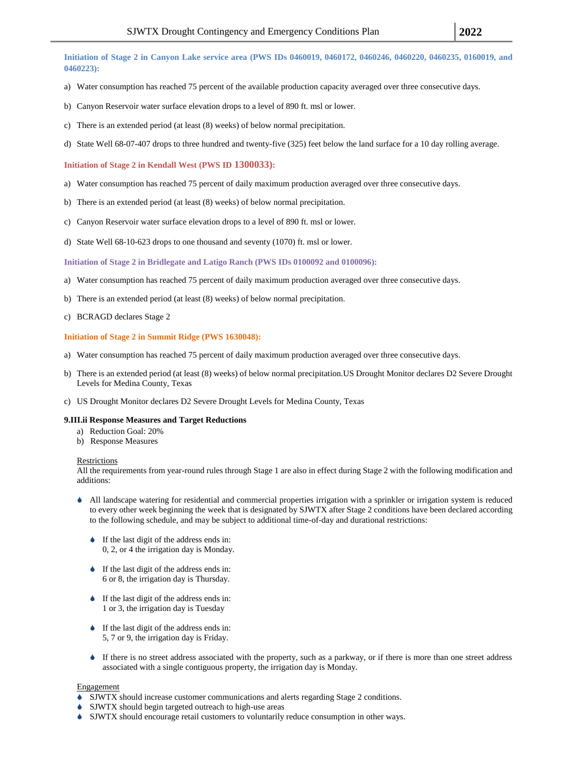**Initiation of Stage 2 in Canyon Lake service area (PWS IDs 0460019, 0460172, 0460246, 0460220, 0460235, 0160019, and 0460223):**

- a) Water consumption has reached 75 percent of the available production capacity averaged over three consecutive days.
- b) Canyon Reservoir water surface elevation drops to a level of 890 ft. msl or lower.
- c) There is an extended period (at least (8) weeks) of below normal precipitation.
- d) State Well 68-07-407 drops to three hundred and twenty-five (325) feet below the land surface for a 10 day rolling average.

**Initiation of Stage 2 in Kendall West (PWS ID 1300033):**

- a) Water consumption has reached 75 percent of daily maximum production averaged over three consecutive days.
- b) There is an extended period (at least (8) weeks) of below normal precipitation.
- c) Canyon Reservoir water surface elevation drops to a level of 890 ft. msl or lower.
- d) State Well 68-10-623 drops to one thousand and seventy (1070) ft. msl or lower.

**Initiation of Stage 2 in Bridlegate and Latigo Ranch (PWS IDs 0100092 and 0100096):**

- a) Water consumption has reached 75 percent of daily maximum production averaged over three consecutive days.
- b) There is an extended period (at least (8) weeks) of below normal precipitation.
- c) BCRAGD declares Stage 2

#### **Initiation of Stage 2 in Summit Ridge (PWS 1630048):**

- a) Water consumption has reached 75 percent of daily maximum production averaged over three consecutive days.
- b) There is an extended period (at least (8) weeks) of below normal precipitation.US Drought Monitor declares D2 Severe Drought Levels for Medina County, Texas
- c) US Drought Monitor declares D2 Severe Drought Levels for Medina County, Texas

#### <span id="page-6-0"></span>**9.III.ii Response Measures and Target Reductions**

- a) Reduction Goal: 20%
- b) Response Measures

#### Restrictions

All the requirements from year-round rules through Stage 1 are also in effect during Stage 2 with the following modification and additions:

- All landscape watering for residential and commercial properties irrigation with a sprinkler or irrigation system is reduced to every other week beginning the week that is designated by SJWTX after Stage 2 conditions have been declared according to the following schedule, and may be subject to additional time-of-day and durational restrictions:
	- If the last digit of the address ends in: 0, 2, or 4 the irrigation day is Monday.
	- If the last digit of the address ends in: 6 or 8, the irrigation day is Thursday.
	- If the last digit of the address ends in: 1 or 3, the irrigation day is Tuesday
	- If the last digit of the address ends in: 5, 7 or 9, the irrigation day is Friday.
	- If there is no street address associated with the property, such as a parkway, or if there is more than one street address associated with a single contiguous property, the irrigation day is Monday.

#### **Engagement**

- SJWTX should increase customer communications and alerts regarding Stage 2 conditions.
- SJWTX should begin targeted outreach to high-use areas
- SJWTX should encourage retail customers to voluntarily reduce consumption in other ways.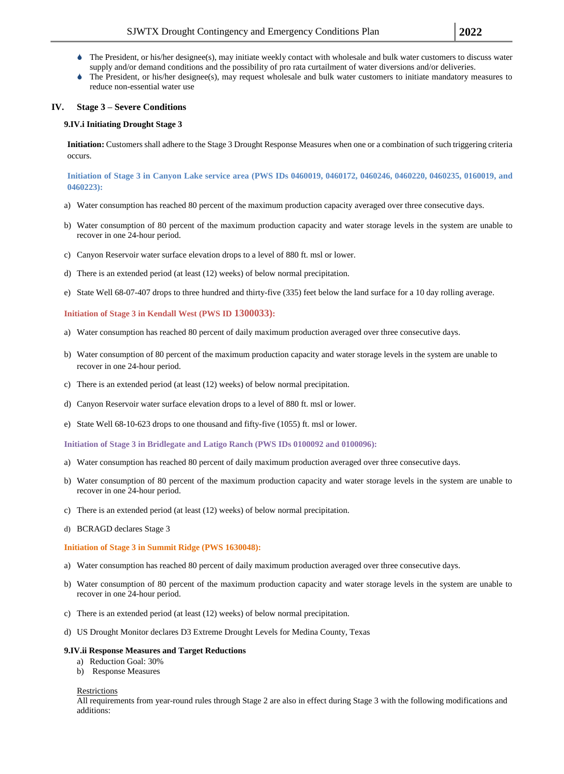- The President, or his/her designee(s), may initiate weekly contact with wholesale and bulk water customers to discuss water supply and/or demand conditions and the possibility of pro rata curtailment of water diversions and/or deliveries.
- The President, or his/her designee(s), may request wholesale and bulk water customers to initiate mandatory measures to reduce non-essential water use

## <span id="page-7-1"></span><span id="page-7-0"></span>**IV. Stage 3 – Severe Conditions**

## **9.IV.i Initiating Drought Stage 3**

**Initiation:** Customers shall adhere to the Stage 3 Drought Response Measures when one or a combination of such triggering criteria occurs.

**Initiation of Stage 3 in Canyon Lake service area (PWS IDs 0460019, 0460172, 0460246, 0460220, 0460235, 0160019, and 0460223):**

- a) Water consumption has reached 80 percent of the maximum production capacity averaged over three consecutive days.
- b) Water consumption of 80 percent of the maximum production capacity and water storage levels in the system are unable to recover in one 24-hour period.
- c) Canyon Reservoir water surface elevation drops to a level of 880 ft. msl or lower.
- d) There is an extended period (at least (12) weeks) of below normal precipitation.
- e) State Well 68-07-407 drops to three hundred and thirty-five (335) feet below the land surface for a 10 day rolling average.

**Initiation of Stage 3 in Kendall West (PWS ID 1300033):**

- a) Water consumption has reached 80 percent of daily maximum production averaged over three consecutive days.
- b) Water consumption of 80 percent of the maximum production capacity and water storage levels in the system are unable to recover in one 24-hour period.
- c) There is an extended period (at least (12) weeks) of below normal precipitation.
- d) Canyon Reservoir water surface elevation drops to a level of 880 ft. msl or lower.
- e) State Well 68-10-623 drops to one thousand and fifty-five (1055) ft. msl or lower.

**Initiation of Stage 3 in Bridlegate and Latigo Ranch (PWS IDs 0100092 and 0100096):**

- a) Water consumption has reached 80 percent of daily maximum production averaged over three consecutive days.
- b) Water consumption of 80 percent of the maximum production capacity and water storage levels in the system are unable to recover in one 24-hour period.
- c) There is an extended period (at least (12) weeks) of below normal precipitation.
- d) BCRAGD declares Stage 3

## **Initiation of Stage 3 in Summit Ridge (PWS 1630048):**

- a) Water consumption has reached 80 percent of daily maximum production averaged over three consecutive days.
- b) Water consumption of 80 percent of the maximum production capacity and water storage levels in the system are unable to recover in one 24-hour period.
- c) There is an extended period (at least (12) weeks) of below normal precipitation.
- d) US Drought Monitor declares D3 Extreme Drought Levels for Medina County, Texas

#### <span id="page-7-2"></span>**9.IV.ii Response Measures and Target Reductions**

- a) Reduction Goal: 30%
- b) Response Measures

**Restrictions** 

All requirements from year-round rules through Stage 2 are also in effect during Stage 3 with the following modifications and additions: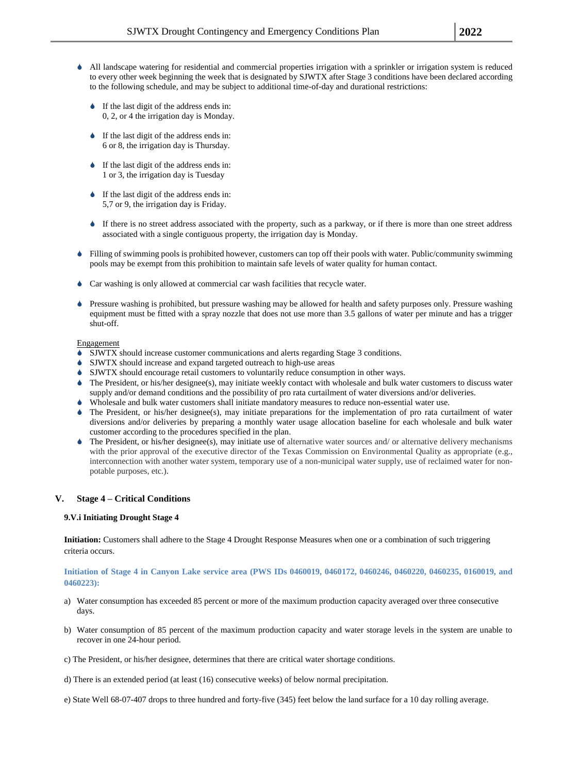- All landscape watering for residential and commercial properties irrigation with a sprinkler or irrigation system is reduced to every other week beginning the week that is designated by SJWTX after Stage 3 conditions have been declared according to the following schedule, and may be subject to additional time-of-day and durational restrictions:
	- If the last digit of the address ends in: 0, 2, or 4 the irrigation day is Monday.
	- If the last digit of the address ends in: 6 or 8, the irrigation day is Thursday.
	- If the last digit of the address ends in: 1 or 3, the irrigation day is Tuesday
	- If the last digit of the address ends in: 5,7 or 9, the irrigation day is Friday.
	- If there is no street address associated with the property, such as a parkway, or if there is more than one street address associated with a single contiguous property, the irrigation day is Monday.
- Filling of swimming pools is prohibited however, customers can top off their pools with water. Public/community swimming pools may be exempt from this prohibition to maintain safe levels of water quality for human contact.
- Car washing is only allowed at commercial car wash facilities that recycle water.
- **•** Pressure washing is prohibited, but pressure washing may be allowed for health and safety purposes only. Pressure washing equipment must be fitted with a spray nozzle that does not use more than 3.5 gallons of water per minute and has a trigger shut-off.

#### Engagement

- SJWTX should increase customer communications and alerts regarding Stage 3 conditions.
- SJWTX should increase and expand targeted outreach to high-use areas
- SJWTX should encourage retail customers to voluntarily reduce consumption in other ways.
- ◆ The President, or his/her designee(s), may initiate weekly contact with wholesale and bulk water customers to discuss water supply and/or demand conditions and the possibility of pro rata curtailment of water diversions and/or deliveries.
- Wholesale and bulk water customers shall initiate mandatory measures to reduce non-essential water use.
- The President, or his/her designee(s), may initiate preparations for the implementation of pro rata curtailment of water diversions and/or deliveries by preparing a monthly water usage allocation baseline for each wholesale and bulk water customer according to the procedures specified in the plan.
- $\bullet$  The President, or his/her designee(s), may initiate use of alternative water sources and/ or alternative delivery mechanisms with the prior approval of the executive director of the Texas Commission on Environmental Quality as appropriate (e.g., interconnection with another water system, temporary use of a non-municipal water supply, use of reclaimed water for nonpotable purposes, etc.).

# <span id="page-8-1"></span><span id="page-8-0"></span>**V. Stage 4 – Critical Conditions**

## **9.V.i Initiating Drought Stage 4**

**Initiation:** Customers shall adhere to the Stage 4 Drought Response Measures when one or a combination of such triggering criteria occurs.

**Initiation of Stage 4 in Canyon Lake service area (PWS IDs 0460019, 0460172, 0460246, 0460220, 0460235, 0160019, and 0460223):**

- a) Water consumption has exceeded 85 percent or more of the maximum production capacity averaged over three consecutive days.
- b) Water consumption of 85 percent of the maximum production capacity and water storage levels in the system are unable to recover in one 24-hour period.
- c) The President, or his/her designee, determines that there are critical water shortage conditions.

d) There is an extended period (at least (16) consecutive weeks) of below normal precipitation.

e) State Well 68-07-407 drops to three hundred and forty-five (345) feet below the land surface for a 10 day rolling average.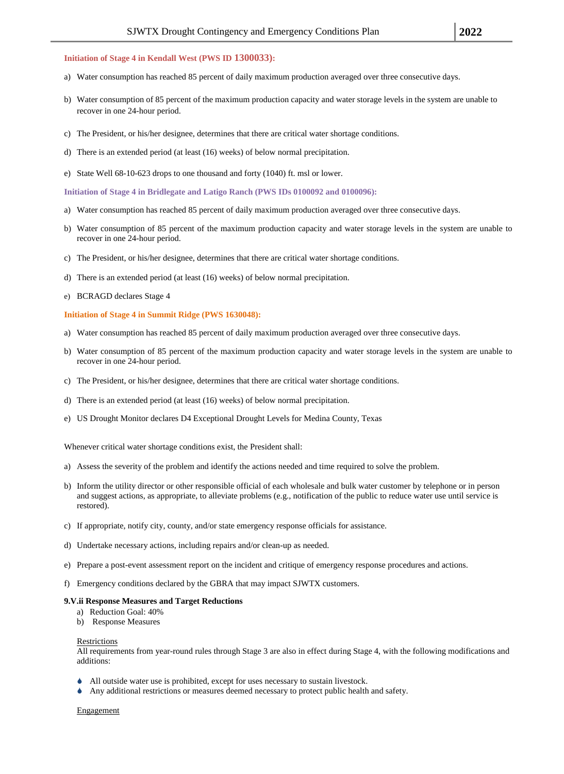#### **Initiation of Stage 4 in Kendall West (PWS ID 1300033):**

- a) Water consumption has reached 85 percent of daily maximum production averaged over three consecutive days.
- b) Water consumption of 85 percent of the maximum production capacity and water storage levels in the system are unable to recover in one 24-hour period.
- c) The President, or his/her designee, determines that there are critical water shortage conditions.
- d) There is an extended period (at least (16) weeks) of below normal precipitation.
- e) State Well 68-10-623 drops to one thousand and forty (1040) ft. msl or lower.

**Initiation of Stage 4 in Bridlegate and Latigo Ranch (PWS IDs 0100092 and 0100096):**

- a) Water consumption has reached 85 percent of daily maximum production averaged over three consecutive days.
- b) Water consumption of 85 percent of the maximum production capacity and water storage levels in the system are unable to recover in one 24-hour period.
- c) The President, or his/her designee, determines that there are critical water shortage conditions.
- d) There is an extended period (at least (16) weeks) of below normal precipitation.
- e) BCRAGD declares Stage 4

#### **Initiation of Stage 4 in Summit Ridge (PWS 1630048):**

- a) Water consumption has reached 85 percent of daily maximum production averaged over three consecutive days.
- b) Water consumption of 85 percent of the maximum production capacity and water storage levels in the system are unable to recover in one 24-hour period.
- c) The President, or his/her designee, determines that there are critical water shortage conditions.
- d) There is an extended period (at least (16) weeks) of below normal precipitation.
- e) US Drought Monitor declares D4 Exceptional Drought Levels for Medina County, Texas

Whenever critical water shortage conditions exist, the President shall:

- a) Assess the severity of the problem and identify the actions needed and time required to solve the problem.
- b) Inform the utility director or other responsible official of each wholesale and bulk water customer by telephone or in person and suggest actions, as appropriate, to alleviate problems (e.g., notification of the public to reduce water use until service is restored).
- c) If appropriate, notify city, county, and/or state emergency response officials for assistance.
- d) Undertake necessary actions, including repairs and/or clean-up as needed.
- e) Prepare a post-event assessment report on the incident and critique of emergency response procedures and actions.
- <span id="page-9-0"></span>f) Emergency conditions declared by the GBRA that may impact SJWTX customers.

#### **9.V.ii Response Measures and Target Reductions**

- a) Reduction Goal: 40%
- b) Response Measures

#### Restrictions

All requirements from year-round rules through Stage 3 are also in effect during Stage 4, with the following modifications and additions:

- All outside water use is prohibited, except for uses necessary to sustain livestock.
- Any additional restrictions or measures deemed necessary to protect public health and safety.

Engagement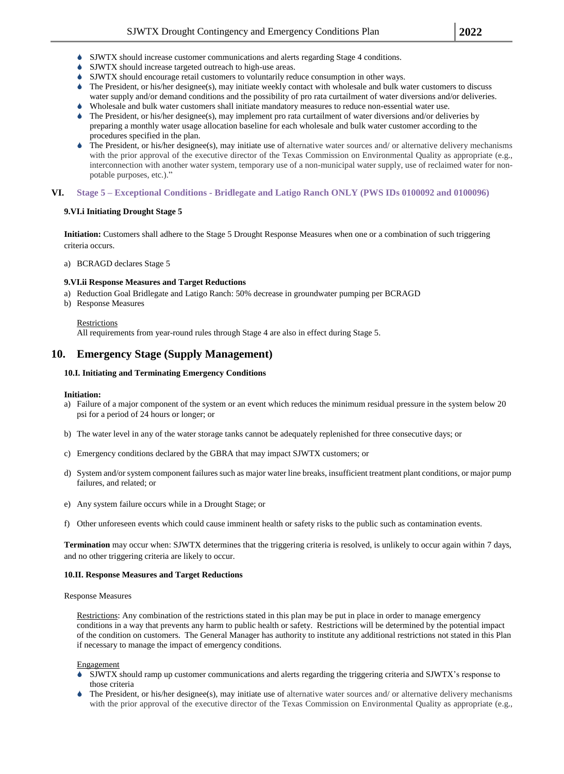- SJWTX should increase customer communications and alerts regarding Stage 4 conditions.
- SJWTX should increase targeted outreach to high-use areas.
- SJWTX should encourage retail customers to voluntarily reduce consumption in other ways.
- The President, or his/her designee(s), may initiate weekly contact with wholesale and bulk water customers to discuss
- water supply and/or demand conditions and the possibility of pro rata curtailment of water diversions and/or deliveries. Wholesale and bulk water customers shall initiate mandatory measures to reduce non-essential water use.
- The President, or his/her designee(s), may implement pro rata curtailment of water diversions and/or deliveries by preparing a monthly water usage allocation baseline for each wholesale and bulk water customer according to the procedures specified in the plan.
- ◆ The President, or his/her designee(s), may initiate use of alternative water sources and/ or alternative delivery mechanisms with the prior approval of the executive director of the Texas Commission on Environmental Quality as appropriate (e.g., interconnection with another water system, temporary use of a non-municipal water supply, use of reclaimed water for nonpotable purposes, etc.)."
- <span id="page-10-1"></span><span id="page-10-0"></span>**VI. Stage 5 – Exceptional Conditions - Bridlegate and Latigo Ranch ONLY (PWS IDs 0100092 and 0100096)**

## **9.VI.i Initiating Drought Stage 5**

**Initiation:** Customers shall adhere to the Stage 5 Drought Response Measures when one or a combination of such triggering criteria occurs.

a) BCRAGD declares Stage 5

## <span id="page-10-2"></span>**9.VI.ii Response Measures and Target Reductions**

- a) Reduction Goal Bridlegate and Latigo Ranch: 50% decrease in groundwater pumping per BCRAGD
- b) Response Measures

## **Restrictions**

All requirements from year-round rules through Stage 4 are also in effect during Stage 5.

# <span id="page-10-4"></span><span id="page-10-3"></span>**10. Emergency Stage (Supply Management)**

## **10.I. Initiating and Terminating Emergency Conditions**

## **Initiation:**

- a) Failure of a major component of the system or an event which reduces the minimum residual pressure in the system below 20 psi for a period of 24 hours or longer; or
- b) The water level in any of the water storage tanks cannot be adequately replenished for three consecutive days; or
- c) Emergency conditions declared by the GBRA that may impact SJWTX customers; or
- d) System and/or system component failures such as major water line breaks, insufficient treatment plant conditions, or major pump failures, and related; or
- e) Any system failure occurs while in a Drought Stage; or
- f) Other unforeseen events which could cause imminent health or safety risks to the public such as contamination events.

**Termination** may occur when: SJWTX determines that the triggering criteria is resolved, is unlikely to occur again within 7 days, and no other triggering criteria are likely to occur.

#### <span id="page-10-5"></span>**10.II. Response Measures and Target Reductions**

#### Response Measures

Restrictions: Any combination of the restrictions stated in this plan may be put in place in order to manage emergency conditions in a way that prevents any harm to public health or safety. Restrictions will be determined by the potential impact of the condition on customers. The General Manager has authority to institute any additional restrictions not stated in this Plan if necessary to manage the impact of emergency conditions.

Engagement

- SJWTX should ramp up customer communications and alerts regarding the triggering criteria and SJWTX's response to those criteria
- The President, or his/her designee(s), may initiate use of alternative water sources and/ or alternative delivery mechanisms with the prior approval of the executive director of the Texas Commission on Environmental Quality as appropriate (e.g.,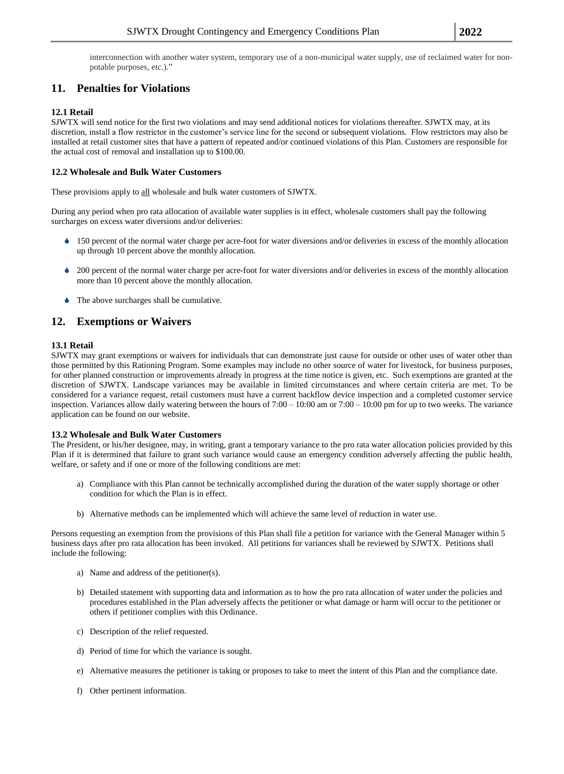interconnection with another water system, temporary use of a non-municipal water supply, use of reclaimed water for nonpotable purposes, etc.)."

# <span id="page-11-0"></span>**11. Penalties for Violations**

# <span id="page-11-1"></span>**12.1 Retail**

SJWTX will send notice for the first two violations and may send additional notices for violations thereafter. SJWTX may, at its discretion, install a flow restrictor in the customer's service line for the second or subsequent violations. Flow restrictors may also be installed at retail customer sites that have a pattern of repeated and/or continued violations of this Plan. Customers are responsible for the actual cost of removal and installation up to \$100.00.

# <span id="page-11-2"></span>**12.2 Wholesale and Bulk Water Customers**

These provisions apply to all wholesale and bulk water customers of SJWTX.

During any period when pro rata allocation of available water supplies is in effect, wholesale customers shall pay the following surcharges on excess water diversions and/or deliveries:

- ♦ 150 percent of the normal water charge per acre-foot for water diversions and/or deliveries in excess of the monthly allocation up through 10 percent above the monthly allocation.
- ◆ 200 percent of the normal water charge per acre-foot for water diversions and/or deliveries in excess of the monthly allocation more than 10 percent above the monthly allocation.
- The above surcharges shall be cumulative.

# <span id="page-11-3"></span>**12. Exemptions or Waivers**

# <span id="page-11-4"></span>**13.1 Retail**

SJWTX may grant exemptions or waivers for individuals that can demonstrate just cause for outside or other uses of water other than those permitted by this Rationing Program. Some examples may include no other source of water for livestock, for business purposes, for other planned construction or improvements already in progress at the time notice is given, etc. Such exemptions are granted at the discretion of SJWTX. Landscape variances may be available in limited circumstances and where certain criteria are met. To be considered for a variance request, retail customers must have a current backflow device inspection and a completed customer service inspection. Variances allow daily watering between the hours of 7:00 – 10:00 am or 7:00 – 10:00 pm for up to two weeks. The variance application can be found on our website.

# <span id="page-11-5"></span>**13.2 Wholesale and Bulk Water Customers**

The President, or his/her designee, may, in writing, grant a temporary variance to the pro rata water allocation policies provided by this Plan if it is determined that failure to grant such variance would cause an emergency condition adversely affecting the public health, welfare, or safety and if one or more of the following conditions are met:

- a) Compliance with this Plan cannot be technically accomplished during the duration of the water supply shortage or other condition for which the Plan is in effect.
- b) Alternative methods can be implemented which will achieve the same level of reduction in water use.

Persons requesting an exemption from the provisions of this Plan shall file a petition for variance with the General Manager within 5 business days after pro rata allocation has been invoked. All petitions for variances shall be reviewed by SJWTX. Petitions shall include the following:

- a) Name and address of the petitioner(s).
- b) Detailed statement with supporting data and information as to how the pro rata allocation of water under the policies and procedures established in the Plan adversely affects the petitioner or what damage or harm will occur to the petitioner or others if petitioner complies with this Ordinance.
- c) Description of the relief requested.
- d) Period of time for which the variance is sought.
- e) Alternative measures the petitioner is taking or proposes to take to meet the intent of this Plan and the compliance date.
- f) Other pertinent information.